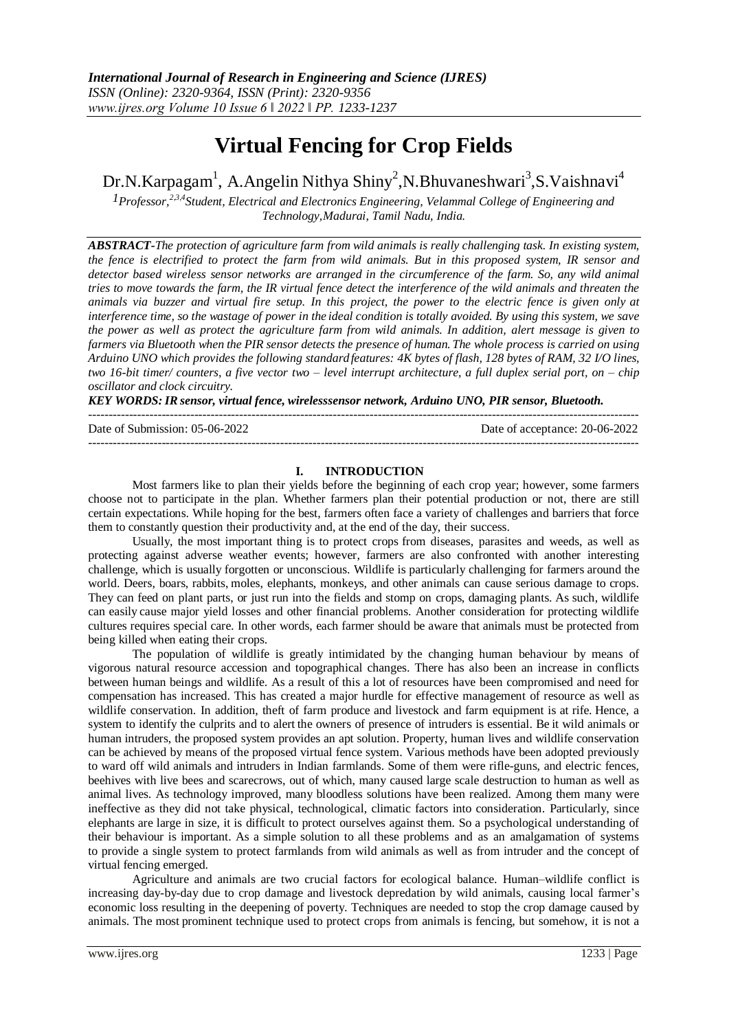# **Virtual Fencing for Crop Fields**

Dr.N.Karpagam<sup>1</sup>, A.Angelin Nithya Shiny<sup>2</sup>,N.Bhuvaneshwari<sup>3</sup>,S.Vaishnavi<sup>4</sup>

*1Professor,2,3,4Student, Electrical and Electronics Engineering, Velammal College of Engineering and Technology,Madurai, Tamil Nadu, India.*

*ABSTRACT-The protection of agriculture farm from wild animals is really challenging task. In existing system, the fence is electrified to protect the farm from wild animals. But in this proposed system, IR sensor and detector based wireless sensor networks are arranged in the circumference of the farm. So, any wild animal tries to move towards the farm, the IR virtual fence detect the interference of the wild animals and threaten the animals via buzzer and virtual fire setup. In this project, the power to the electric fence is given only at interference time, so the wastage of power in the ideal condition is totally avoided. By using this system, we save the power as well as protect the agriculture farm from wild animals. In addition, alert message is given to*  farmers via Bluetooth when the PIR sensor detects the presence of human. The whole process is carried on using *Arduino UNO which provides the following standardfeatures: 4K bytes of flash, 128 bytes of RAM, 32 I/O lines, two 16-bit timer/ counters, a five vector two – level interrupt architecture, a full duplex serial port, on – chip oscillator and clock circuitry.*

*KEY WORDS:IR sensor, virtual fence, wirelesssensor network, Arduino UNO, PIR sensor, Bluetooth.*

--------------------------------------------------------------------------------------------------------------------------------------- Date of Submission: 05-06-2022 Date of acceptance: 20-06-2022

---------------------------------------------------------------------------------------------------------------------------------------

#### **I. INTRODUCTION**

Most farmers like to plan their yields before the beginning of each crop year; however, some farmers choose not to participate in the plan. Whether farmers plan their potential production or not, there are still certain expectations. While hoping for the best, farmers often face a variety of challenges and barriers that force them to constantly question their productivity and, at the end of the day, their success.

Usually, the most important thing is to protect crops from diseases, parasites and weeds, as well as protecting against adverse weather events; however, farmers are also confronted with another interesting challenge, which is usually forgotten or unconscious. Wildlife is particularly challenging for farmers around the world. Deers, boars, rabbits, moles, elephants, monkeys, and other animals can cause serious damage to crops. They can feed on plant parts, or just run into the fields and stomp on crops, damaging plants. As such, wildlife can easily cause major yield losses and other financial problems. Another consideration for protecting wildlife cultures requires special care. In other words, each farmer should be aware that animals must be protected from being killed when eating their crops.

The population of wildlife is greatly intimidated by the changing human behaviour by means of vigorous natural resource accession and topographical changes. There has also been an increase in conflicts between human beings and wildlife. As a result of this a lot of resources have been compromised and need for compensation has increased. This has created a major hurdle for effective management of resource as well as wildlife conservation. In addition, theft of farm produce and livestock and farm equipment is at rife. Hence, a system to identify the culprits and to alert the owners of presence of intruders is essential. Be it wild animals or human intruders, the proposed system provides an apt solution. Property, human lives and wildlife conservation can be achieved by means of the proposed virtual fence system. Various methods have been adopted previously to ward off wild animals and intruders in Indian farmlands. Some of them were rifle-guns, and electric fences, beehives with live bees and scarecrows, out of which, many caused large scale destruction to human as well as animal lives. As technology improved, many bloodless solutions have been realized. Among them many were ineffective as they did not take physical, technological, climatic factors into consideration. Particularly, since elephants are large in size, it is difficult to protect ourselves against them. So a psychological understanding of their behaviour is important. As a simple solution to all these problems and as an amalgamation of systems to provide a single system to protect farmlands from wild animals as well as from intruder and the concept of virtual fencing emerged.

Agriculture and animals are two crucial factors for ecological balance. Human–wildlife conflict is increasing day-by-day due to crop damage and livestock depredation by wild animals, causing local farmer's economic loss resulting in the deepening of poverty. Techniques are needed to stop the crop damage caused by animals. The most prominent technique used to protect crops from animals is fencing, but somehow, it is not a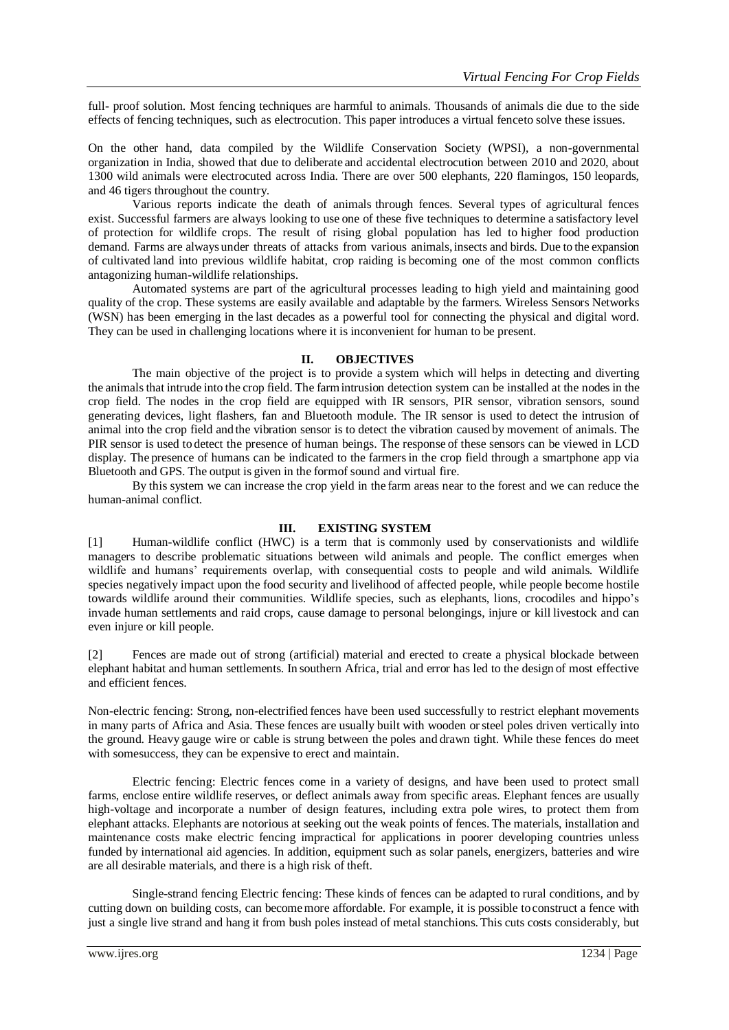full- proof solution. Most fencing techniques are harmful to animals. Thousands of animals die due to the side effects of fencing techniques, such as electrocution. This paper introduces a virtual fenceto solve these issues.

On the other hand, data compiled by the Wildlife Conservation Society (WPSI), a non-governmental organization in India, showed that due to deliberate and accidental electrocution between 2010 and 2020, about 1300 wild animals were electrocuted across India. There are over 500 elephants, 220 flamingos, 150 leopards, and 46 tigers throughout the country.

Various reports indicate the death of animals through fences. Several types of agricultural fences exist. Successful farmers are always looking to use one of these five techniques to determine a satisfactory level of protection for wildlife crops. The result of rising global population has led to higher food production demand. Farms are always under threats of attacks from various animals, insects and birds. Due to the expansion of cultivated land into previous wildlife habitat, crop raiding is becoming one of the most common conflicts antagonizing human-wildlife relationships.

Automated systems are part of the agricultural processes leading to high yield and maintaining good quality of the crop. These systems are easily available and adaptable by the farmers. Wireless Sensors Networks (WSN) has been emerging in the last decades as a powerful tool for connecting the physical and digital word. They can be used in challenging locations where it is inconvenient for human to be present.

## **II. OBJECTIVES**

The main objective of the project is to provide a system which will helps in detecting and diverting the animalsthat intrude into the crop field. The farmintrusion detection system can be installed at the nodes in the crop field. The nodes in the crop field are equipped with IR sensors, PIR sensor, vibration sensors, sound generating devices, light flashers, fan and Bluetooth module. The IR sensor is used to detect the intrusion of animal into the crop field and the vibration sensor is to detect the vibration caused by movement of animals. The PIR sensor is used to detect the presence of human beings. The response of these sensors can be viewed in LCD display. The presence of humans can be indicated to the farmersin the crop field through a smartphone app via Bluetooth and GPS. The output is given in the formof sound and virtual fire.

By this system we can increase the crop yield in the farm areas near to the forest and we can reduce the human-animal conflict.

#### **III. EXISTING SYSTEM**

[1] Human-wildlife conflict (HWC) is a term that is commonly used by conservationists and wildlife managers to describe problematic situations between wild animals and people. The conflict emerges when wildlife and humans' requirements overlap, with consequential costs to people and wild animals. Wildlife species negatively impact upon the food security and livelihood of affected people, while people become hostile towards wildlife around their communities. Wildlife species, such as elephants, lions, crocodiles and hippo's invade human settlements and raid crops, cause damage to personal belongings, injure or kill livestock and can even injure or kill people.

[2] Fences are made out of strong (artificial) material and erected to create a physical blockade between elephant habitat and human settlements. In southern Africa, trial and error has led to the design of most effective and efficient fences.

Non-electric fencing: Strong, non-electrified fences have been used successfully to restrict elephant movements in many parts of Africa and Asia. These fences are usually built with wooden orsteel poles driven vertically into the ground. Heavy gauge wire or cable is strung between the poles and drawn tight. While these fences do meet with somesuccess, they can be expensive to erect and maintain.

Electric fencing: Electric fences come in a variety of designs, and have been used to protect small farms, enclose entire wildlife reserves, or deflect animals away from specific areas. Elephant fences are usually high-voltage and incorporate a number of design features, including extra pole wires, to protect them from elephant attacks. Elephants are notorious at seeking out the weak points of fences. The materials, installation and maintenance costs make electric fencing impractical for applications in poorer developing countries unless funded by international aid agencies. In addition, equipment such as solar panels, energizers, batteries and wire are all desirable materials, and there is a high risk of theft.

Single-strand fencing Electric fencing: These kinds of fences can be adapted to rural conditions, and by cutting down on building costs, can becomemore affordable. For example, it is possible toconstruct a fence with just a single live strand and hang it from bush poles instead of metal stanchions. This cuts costs considerably, but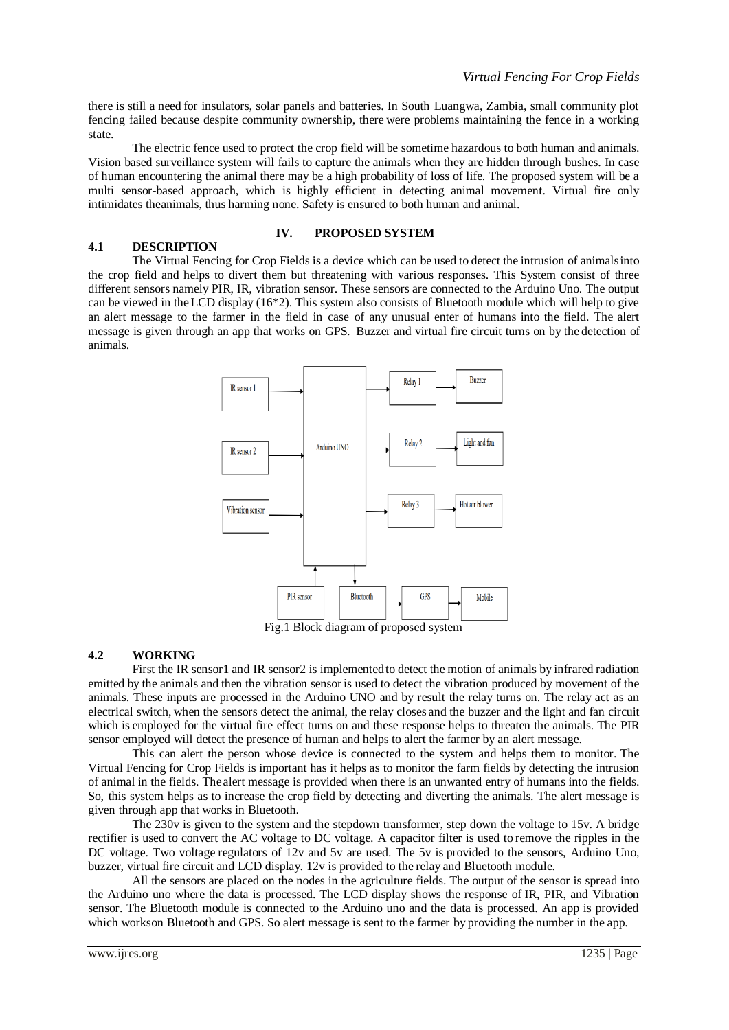there is still a need for insulators, solar panels and batteries. In South Luangwa, Zambia, small community plot fencing failed because despite community ownership, there were problems maintaining the fence in a working state.

The electric fence used to protect the crop field will be sometime hazardous to both human and animals. Vision based surveillance system will fails to capture the animals when they are hidden through bushes. In case of human encountering the animal there may be a high probability of loss of life. The proposed system will be a multi sensor-based approach, which is highly efficient in detecting animal movement. Virtual fire only intimidates theanimals, thus harming none. Safety is ensured to both human and animal.

# **4.1 DESCRIPTION**

## **IV. PROPOSED SYSTEM**

The Virtual Fencing for Crop Fields is a device which can be used to detect the intrusion of animalsinto the crop field and helps to divert them but threatening with various responses. This System consist of three different sensors namely PIR, IR, vibration sensor. These sensors are connected to the Arduino Uno. The output can be viewed in theLCD display (16\*2). This system also consists of Bluetooth module which will help to give an alert message to the farmer in the field in case of any unusual enter of humans into the field. The alert message is given through an app that works on GPS. Buzzer and virtual fire circuit turns on by the detection of animals.



Fig.1 Block diagram of proposed system

## **4.2 WORKING**

First the IR sensor1 and IR sensor2 is implementedto detect the motion of animals by infrared radiation emitted by the animals and then the vibration sensor is used to detect the vibration produced by movement of the animals. These inputs are processed in the Arduino UNO and by result the relay turns on. The relay act as an electrical switch, when the sensors detect the animal, the relay closes and the buzzer and the light and fan circuit which is employed for the virtual fire effect turns on and these response helps to threaten the animals. The PIR sensor employed will detect the presence of human and helps to alert the farmer by an alert message.

This can alert the person whose device is connected to the system and helps them to monitor. The Virtual Fencing for Crop Fields is important has it helps as to monitor the farm fields by detecting the intrusion of animal in the fields. Thealert message is provided when there is an unwanted entry of humans into the fields. So, this system helps as to increase the crop field by detecting and diverting the animals. The alert message is given through app that works in Bluetooth.

The 230v is given to the system and the stepdown transformer, step down the voltage to 15v. A bridge rectifier is used to convert the AC voltage to DC voltage. A capacitor filter is used to remove the ripples in the DC voltage. Two voltage regulators of 12v and 5v are used. The 5v is provided to the sensors, Arduino Uno, buzzer, virtual fire circuit and LCD display. 12v is provided to the relay and Bluetooth module.

All the sensors are placed on the nodes in the agriculture fields. The output of the sensor is spread into the Arduino uno where the data is processed. The LCD display shows the response of IR, PIR, and Vibration sensor. The Bluetooth module is connected to the Arduino uno and the data is processed. An app is provided which workson Bluetooth and GPS. So alert message is sent to the farmer by providing the number in the app.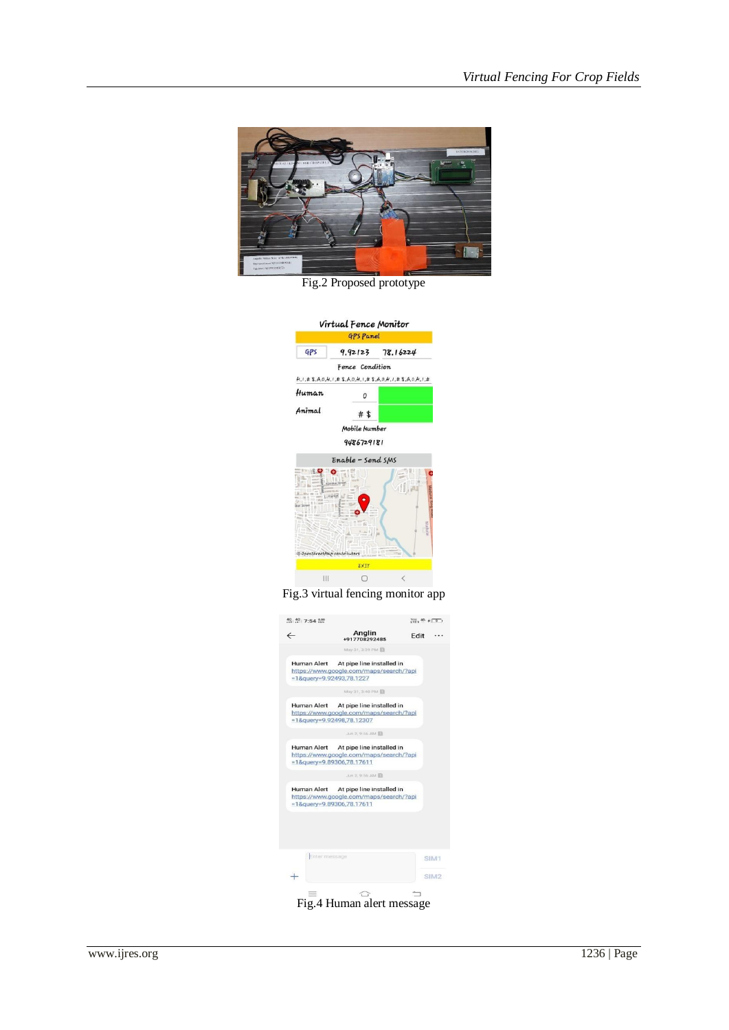

Fig.2 Proposed prototype